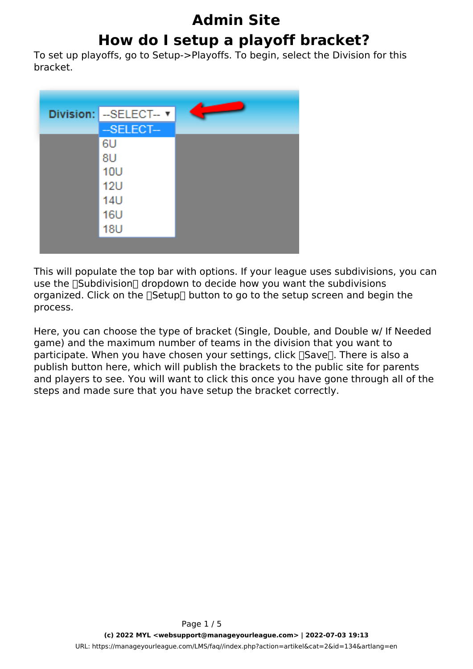# **Admin Site How do I setup a playoff bracket?**

To set up playoffs, go to Setup->Playoffs. To begin, select the Division for this bracket.



This will populate the top bar with options. If your league uses subdivisions, you can use the  $\Box$ Subdivision $\Box$  dropdown to decide how you want the subdivisions organized. Click on the  $\Box$ Setup $\Box$  button to go to the setup screen and begin the process.

Here, you can choose the type of bracket (Single, Double, and Double w/ If Needed game) and the maximum number of teams in the division that you want to participate. When you have chosen your settings, click [Save]. There is also a publish button here, which will publish the brackets to the public site for parents and players to see. You will want to click this once you have gone through all of the steps and made sure that you have setup the bracket correctly.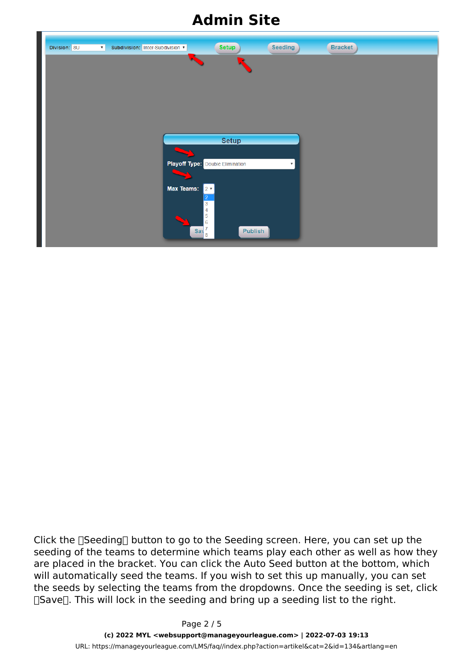

Click the  $\Box$ Seeding  $\Box$  button to go to the Seeding screen. Here, you can set up the seeding of the teams to determine which teams play each other as well as how they are placed in the bracket. You can click the Auto Seed button at the bottom, which will automatically seed the teams. If you wish to set this up manually, you can set the seeds by selecting the teams from the dropdowns. Once the seeding is set, click  $\Box$ Save $\Box$ . This will lock in the seeding and bring up a seeding list to the right.

> Page 2 / 5 **(c) 2022 MYL <websupport@manageyourleague.com> | 2022-07-03 19:13** [URL: https://manageyourleague.com/LMS/faq//index.php?action=artikel&cat=2&id=134&artlang=en](https://manageyourleague.com/LMS/faq//index.php?action=artikel&cat=2&id=134&artlang=en)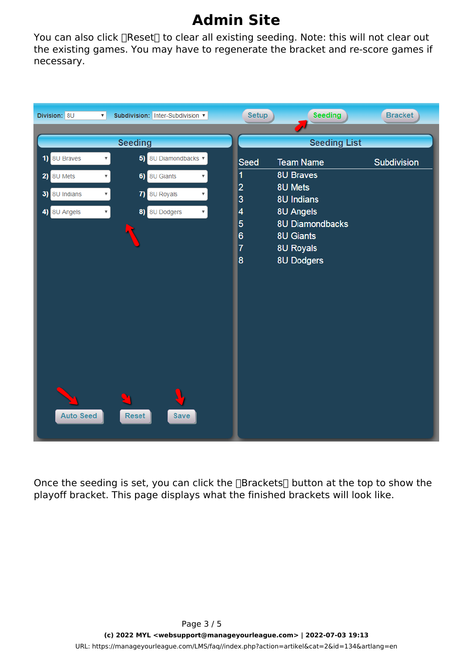You can also click  $\Box$  Reset $\Box$  to clear all existing seeding. Note: this will not clear out the existing games. You may have to regenerate the bracket and re-score games if necessary.



Once the seeding is set, you can click the  $\Box$ Brackets $\Box$  button at the top to show the playoff bracket. This page displays what the finished brackets will look like.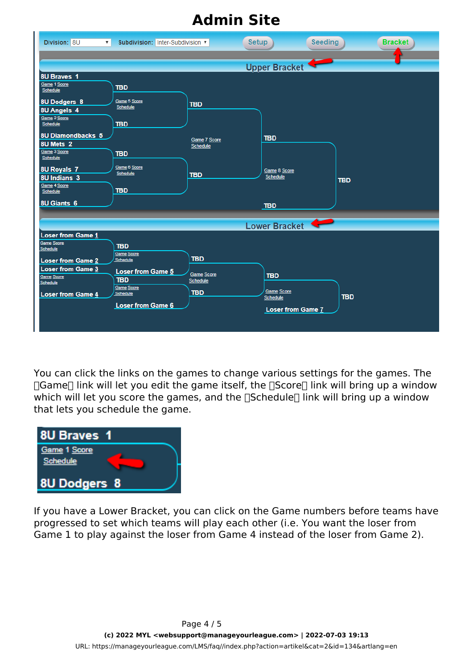|                          |                                                                                         |                                                                                                                                                              | <b>Bracket</b>                                                          |
|--------------------------|-----------------------------------------------------------------------------------------|--------------------------------------------------------------------------------------------------------------------------------------------------------------|-------------------------------------------------------------------------|
|                          |                                                                                         |                                                                                                                                                              |                                                                         |
| <b>TBD</b>               |                                                                                         |                                                                                                                                                              |                                                                         |
| Game 5 Score<br>Schedule |                                                                                         |                                                                                                                                                              |                                                                         |
| <b>TBD</b>               |                                                                                         |                                                                                                                                                              |                                                                         |
|                          |                                                                                         | <b>TBD</b>                                                                                                                                                   |                                                                         |
| <b>TBD</b>               |                                                                                         |                                                                                                                                                              |                                                                         |
| Schedule                 |                                                                                         | Game 8 Score<br><b>Schedule</b>                                                                                                                              | <b>TBD</b>                                                              |
| <b>TBD</b>               |                                                                                         |                                                                                                                                                              |                                                                         |
|                          |                                                                                         | <b>TBD</b>                                                                                                                                                   |                                                                         |
|                          |                                                                                         |                                                                                                                                                              |                                                                         |
|                          |                                                                                         |                                                                                                                                                              |                                                                         |
| <b>TBD</b><br>Game Score |                                                                                         |                                                                                                                                                              |                                                                         |
|                          |                                                                                         |                                                                                                                                                              |                                                                         |
| <b>TBD</b>               |                                                                                         | <b>TBD</b>                                                                                                                                                   |                                                                         |
| Schedule                 |                                                                                         | <b>Game Score</b><br><b>Schedule</b>                                                                                                                         | <b>TBD</b>                                                              |
|                          |                                                                                         | <b>Loser from Game 7</b>                                                                                                                                     |                                                                         |
|                          | Game 6 Score<br>Schedule<br>Loser from Game 5<br>Game Score<br><b>Loser from Game 6</b> | Subdivision: Inter-Subdivision ▼<br><b>TBD</b><br>Game 7 Score<br><b>Schedule</b><br><b>TBD</b><br><b>TBD</b><br><b>Game Score</b><br>Schedule<br><b>TBD</b> | <b>Seeding</b><br><b>Setup</b><br><b>Upper Bracket</b><br>Lower Bracket |

You can click the links on the games to change various settings for the games. The  $\Box$  Game $\Box$  link will let you edit the game itself, the  $\Box$  Score $\Box$  link will bring up a window which will let you score the games, and the  $\Box$ Schedule $\Box$  link will bring up a window that lets you schedule the game.



If you have a Lower Bracket, you can click on the Game numbers before teams have progressed to set which teams will play each other (i.e. You want the loser from Game 1 to play against the loser from Game 4 instead of the loser from Game 2).